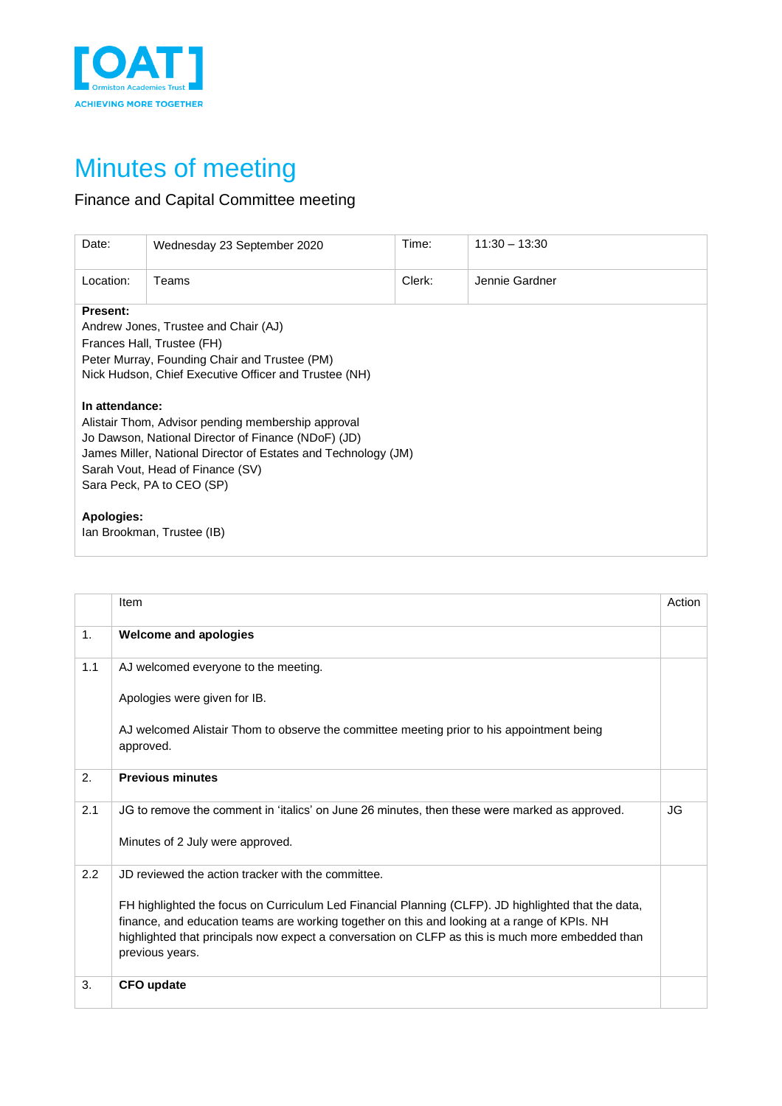

## Minutes of meeting

## Finance and Capital Committee meeting

| Date:                                                                                                                                                                                                                                                          | Wednesday 23 September 2020 | Time:  | $11:30 - 13:30$ |  |  |  |
|----------------------------------------------------------------------------------------------------------------------------------------------------------------------------------------------------------------------------------------------------------------|-----------------------------|--------|-----------------|--|--|--|
| Location:                                                                                                                                                                                                                                                      | Teams                       | Clerk: | Jennie Gardner  |  |  |  |
| Present:<br>Andrew Jones, Trustee and Chair (AJ)<br>Frances Hall, Trustee (FH)<br>Peter Murray, Founding Chair and Trustee (PM)<br>Nick Hudson, Chief Executive Officer and Trustee (NH)                                                                       |                             |        |                 |  |  |  |
| In attendance:<br>Alistair Thom, Advisor pending membership approval<br>Jo Dawson, National Director of Finance (NDoF) (JD)<br>James Miller, National Director of Estates and Technology (JM)<br>Sarah Vout, Head of Finance (SV)<br>Sara Peck, PA to CEO (SP) |                             |        |                 |  |  |  |
| Apologies:                                                                                                                                                                                                                                                     | Ian Brookman, Trustee (IB)  |        |                 |  |  |  |

|                | Item                                                                                                                                                                                                                                                                                                                       | Action |
|----------------|----------------------------------------------------------------------------------------------------------------------------------------------------------------------------------------------------------------------------------------------------------------------------------------------------------------------------|--------|
| 1 <sub>1</sub> | <b>Welcome and apologies</b>                                                                                                                                                                                                                                                                                               |        |
| 1.1            | AJ welcomed everyone to the meeting.                                                                                                                                                                                                                                                                                       |        |
|                | Apologies were given for IB.                                                                                                                                                                                                                                                                                               |        |
|                | AJ welcomed Alistair Thom to observe the committee meeting prior to his appointment being<br>approved.                                                                                                                                                                                                                     |        |
| 2.             | <b>Previous minutes</b>                                                                                                                                                                                                                                                                                                    |        |
| 2.1            | JG to remove the comment in 'italics' on June 26 minutes, then these were marked as approved.                                                                                                                                                                                                                              | JG     |
|                | Minutes of 2 July were approved.                                                                                                                                                                                                                                                                                           |        |
| 2.2            | JD reviewed the action tracker with the committee.                                                                                                                                                                                                                                                                         |        |
|                | FH highlighted the focus on Curriculum Led Financial Planning (CLFP). JD highlighted that the data,<br>finance, and education teams are working together on this and looking at a range of KPIs. NH<br>highlighted that principals now expect a conversation on CLFP as this is much more embedded than<br>previous years. |        |
| 3.             | <b>CFO update</b>                                                                                                                                                                                                                                                                                                          |        |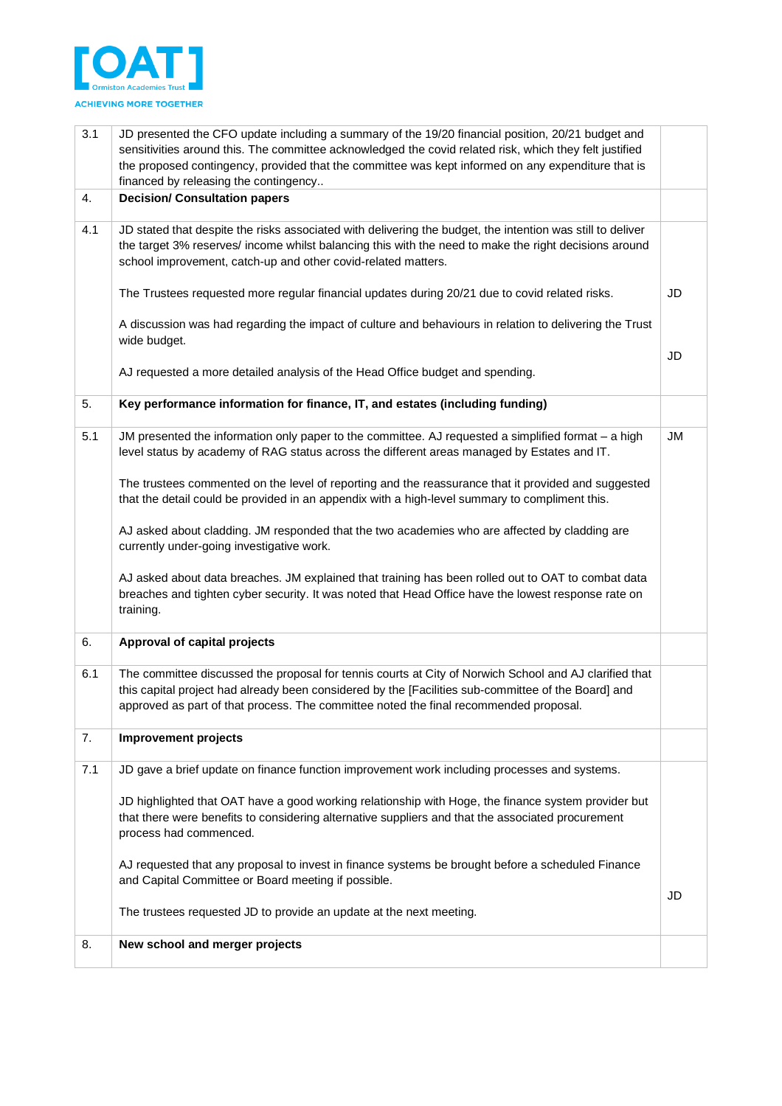

| 3.1 | JD presented the CFO update including a summary of the 19/20 financial position, 20/21 budget and<br>sensitivities around this. The committee acknowledged the covid related risk, which they felt justified<br>the proposed contingency, provided that the committee was kept informed on any expenditure that is<br>financed by releasing the contingency |           |
|-----|-------------------------------------------------------------------------------------------------------------------------------------------------------------------------------------------------------------------------------------------------------------------------------------------------------------------------------------------------------------|-----------|
| 4.  | <b>Decision/ Consultation papers</b>                                                                                                                                                                                                                                                                                                                        |           |
| 4.1 | JD stated that despite the risks associated with delivering the budget, the intention was still to deliver<br>the target 3% reserves/ income whilst balancing this with the need to make the right decisions around<br>school improvement, catch-up and other covid-related matters.                                                                        |           |
|     | The Trustees requested more regular financial updates during 20/21 due to covid related risks.                                                                                                                                                                                                                                                              | JD        |
|     | A discussion was had regarding the impact of culture and behaviours in relation to delivering the Trust<br>wide budget.                                                                                                                                                                                                                                     |           |
|     | AJ requested a more detailed analysis of the Head Office budget and spending.                                                                                                                                                                                                                                                                               | JD        |
| 5.  | Key performance information for finance, IT, and estates (including funding)                                                                                                                                                                                                                                                                                |           |
| 5.1 | JM presented the information only paper to the committee. AJ requested a simplified format - a high<br>level status by academy of RAG status across the different areas managed by Estates and IT.                                                                                                                                                          | <b>JM</b> |
|     | The trustees commented on the level of reporting and the reassurance that it provided and suggested<br>that the detail could be provided in an appendix with a high-level summary to compliment this.                                                                                                                                                       |           |
|     | AJ asked about cladding. JM responded that the two academies who are affected by cladding are<br>currently under-going investigative work.                                                                                                                                                                                                                  |           |
|     | AJ asked about data breaches. JM explained that training has been rolled out to OAT to combat data<br>breaches and tighten cyber security. It was noted that Head Office have the lowest response rate on<br>training.                                                                                                                                      |           |
| 6.  | Approval of capital projects                                                                                                                                                                                                                                                                                                                                |           |
| 6.1 | The committee discussed the proposal for tennis courts at City of Norwich School and AJ clarified that<br>this capital project had already been considered by the [Facilities sub-committee of the Board] and<br>approved as part of that process. The committee noted the final recommended proposal.                                                      |           |
| 7.  | Improvement projects                                                                                                                                                                                                                                                                                                                                        |           |
| 7.1 | JD gave a brief update on finance function improvement work including processes and systems.                                                                                                                                                                                                                                                                |           |
|     | JD highlighted that OAT have a good working relationship with Hoge, the finance system provider but<br>that there were benefits to considering alternative suppliers and that the associated procurement<br>process had commenced.                                                                                                                          |           |
|     | AJ requested that any proposal to invest in finance systems be brought before a scheduled Finance<br>and Capital Committee or Board meeting if possible.                                                                                                                                                                                                    |           |
|     | The trustees requested JD to provide an update at the next meeting.                                                                                                                                                                                                                                                                                         | JD        |
| 8.  | New school and merger projects                                                                                                                                                                                                                                                                                                                              |           |